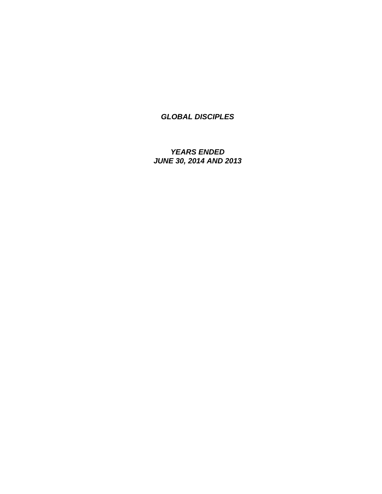*YEARS ENDED JUNE 30, 2014 AND 2013*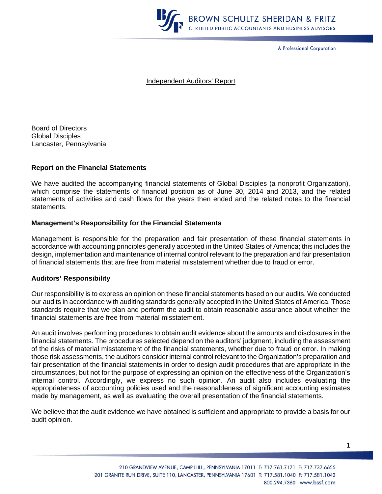

A Professional Corporation

#### Independent Auditors' Report

Board of Directors Global Disciples Lancaster, Pennsylvania

#### **Report on the Financial Statements**

We have audited the accompanying financial statements of Global Disciples (a nonprofit Organization), which comprise the statements of financial position as of June 30, 2014 and 2013, and the related statements of activities and cash flows for the years then ended and the related notes to the financial statements.

#### **Management's Responsibility for the Financial Statements**

Management is responsible for the preparation and fair presentation of these financial statements in accordance with accounting principles generally accepted in the United States of America; this includes the design, implementation and maintenance of internal control relevant to the preparation and fair presentation of financial statements that are free from material misstatement whether due to fraud or error.

#### **Auditors' Responsibility**

Our responsibility is to express an opinion on these financial statements based on our audits. We conducted our audits in accordance with auditing standards generally accepted in the United States of America. Those standards require that we plan and perform the audit to obtain reasonable assurance about whether the financial statements are free from material misstatement.

An audit involves performing procedures to obtain audit evidence about the amounts and disclosures in the financial statements. The procedures selected depend on the auditors' judgment, including the assessment of the risks of material misstatement of the financial statements, whether due to fraud or error. In making those risk assessments, the auditors consider internal control relevant to the Organization's preparation and fair presentation of the financial statements in order to design audit procedures that are appropriate in the circumstances, but not for the purpose of expressing an opinion on the effectiveness of the Organization's internal control. Accordingly, we express no such opinion. An audit also includes evaluating the appropriateness of accounting policies used and the reasonableness of significant accounting estimates made by management, as well as evaluating the overall presentation of the financial statements.

We believe that the audit evidence we have obtained is sufficient and appropriate to provide a basis for our audit opinion.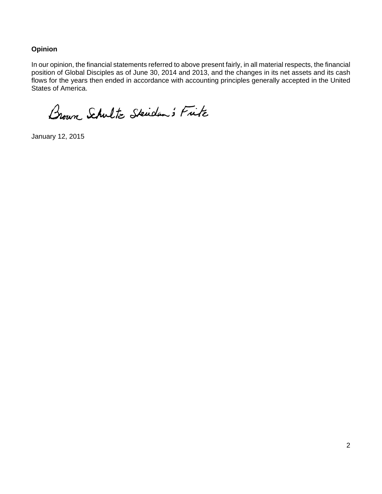### **Opinion**

In our opinion, the financial statements referred to above present fairly, in all material respects, the financial position of Global Disciples as of June 30, 2014 and 2013, and the changes in its net assets and its cash flows for the years then ended in accordance with accounting principles generally accepted in the United States of America.

Brown Schultz Skiden's Fitz

January 12, 2015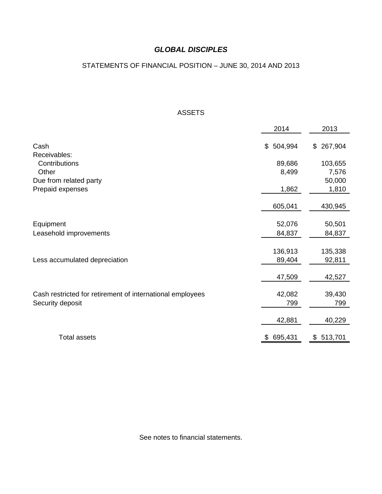### STATEMENTS OF FINANCIAL POSITION – JUNE 30, 2014 AND 2013

#### ASSETS

|                                                           | 2014          | 2013          |
|-----------------------------------------------------------|---------------|---------------|
| Cash                                                      | 504,994<br>\$ | 267,904<br>\$ |
| Receivables:                                              |               |               |
| Contributions                                             | 89,686        | 103,655       |
| Other                                                     | 8,499         | 7,576         |
| Due from related party                                    |               | 50,000        |
| Prepaid expenses                                          | 1,862         | 1,810         |
|                                                           | 605,041       | 430,945       |
| Equipment                                                 | 52,076        | 50,501        |
| Leasehold improvements                                    | 84,837        | 84,837        |
|                                                           |               |               |
|                                                           | 136,913       | 135,338       |
| Less accumulated depreciation                             | 89,404        | 92,811        |
|                                                           | 47,509        | 42,527        |
| Cash restricted for retirement of international employees | 42,082        | 39,430        |
| Security deposit                                          | 799           | 799           |
|                                                           | 42,881        | 40,229        |
| <b>Total assets</b>                                       | 695,431<br>\$ | 513,701<br>\$ |

See notes to financial statements.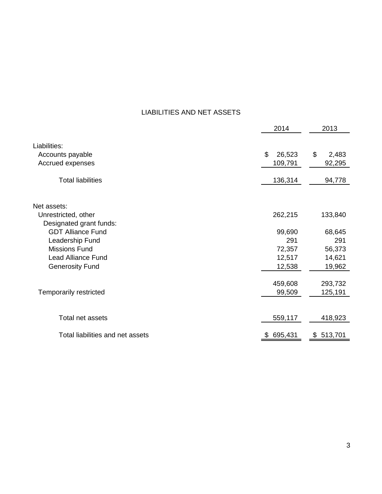# LIABILITIES AND NET ASSETS

|                                  | 2014         | 2013        |
|----------------------------------|--------------|-------------|
| Liabilities:<br>Accounts payable | \$<br>26,523 | \$<br>2,483 |
| Accrued expenses                 | 109,791      | 92,295      |
| <b>Total liabilities</b>         | 136,314      | 94,778      |
| Net assets:                      |              |             |
| Unrestricted, other              | 262,215      | 133,840     |
| Designated grant funds:          |              |             |
| <b>GDT Alliance Fund</b>         | 99,690       | 68,645      |
| Leadership Fund                  | 291          | 291         |
| <b>Missions Fund</b>             | 72,357       | 56,373      |
| <b>Lead Alliance Fund</b>        | 12,517       | 14,621      |
| <b>Generosity Fund</b>           | 12,538       | 19,962      |
|                                  |              |             |
|                                  | 459,608      | 293,732     |
| Temporarily restricted           | 99,509       | 125,191     |
|                                  |              |             |
| Total net assets                 | 559,117      | 418,923     |
| Total liabilities and net assets | \$695,431    | \$513,701   |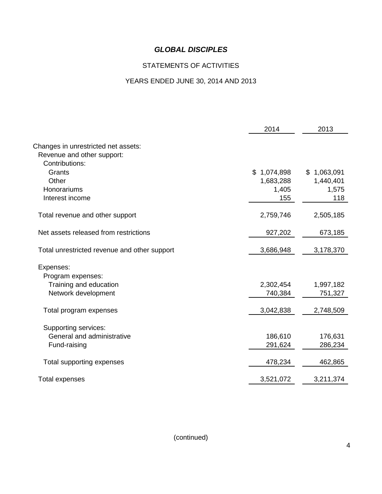# STATEMENTS OF ACTIVITIES

# YEARS ENDED JUNE 30, 2014 AND 2013

|                                              | 2014        | 2013        |
|----------------------------------------------|-------------|-------------|
|                                              |             |             |
| Changes in unrestricted net assets:          |             |             |
| Revenue and other support:<br>Contributions: |             |             |
| Grants                                       | \$1,074,898 | \$1,063,091 |
| Other                                        | 1,683,288   | 1,440,401   |
| Honorariums                                  | 1,405       | 1,575       |
| Interest income                              | 155         | 118         |
|                                              |             |             |
| Total revenue and other support              | 2,759,746   | 2,505,185   |
| Net assets released from restrictions        | 927,202     | 673,185     |
| Total unrestricted revenue and other support | 3,686,948   | 3,178,370   |
|                                              |             |             |
| Expenses:                                    |             |             |
| Program expenses:                            |             |             |
| Training and education                       | 2,302,454   | 1,997,182   |
| Network development                          | 740,384     | 751,327     |
|                                              |             |             |
| Total program expenses                       | 3,042,838   | 2,748,509   |
| Supporting services:                         |             |             |
| General and administrative                   | 186,610     | 176,631     |
| Fund-raising                                 | 291,624     | 286,234     |
|                                              |             |             |
| Total supporting expenses                    | 478,234     | 462,865     |
|                                              |             |             |
| <b>Total expenses</b>                        | 3,521,072   | 3,211,374   |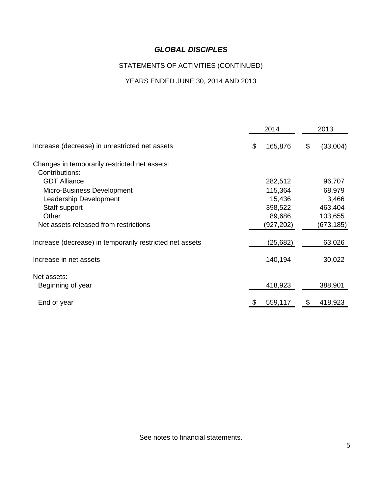# STATEMENTS OF ACTIVITIES (CONTINUED)

# YEARS ENDED JUNE 30, 2014 AND 2013

|                                                          | 2014          | 2013           |
|----------------------------------------------------------|---------------|----------------|
| Increase (decrease) in unrestricted net assets           | 165,876<br>\$ | (33,004)<br>\$ |
| Changes in temporarily restricted net assets:            |               |                |
| Contributions:                                           |               |                |
| <b>GDT Alliance</b>                                      | 282,512       | 96,707         |
| Micro-Business Development                               | 115,364       | 68,979         |
| Leadership Development                                   | 15,436        | 3,466          |
| Staff support                                            | 398,522       | 463,404        |
| Other                                                    | 89,686        | 103,655        |
| Net assets released from restrictions                    | (927,202)     | (673, 185)     |
| Increase (decrease) in temporarily restricted net assets | (25, 682)     | 63,026         |
| Increase in net assets                                   | 140,194       | 30,022         |
| Net assets:                                              |               |                |
| Beginning of year                                        | 418,923       | 388,901        |
| End of year                                              | 559,117       | 418,923        |

See notes to financial statements.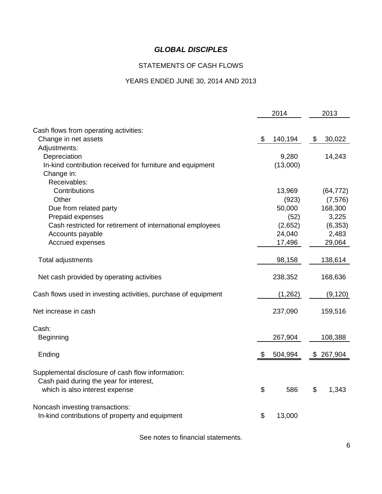## STATEMENTS OF CASH FLOWS

#### YEARS ENDED JUNE 30, 2014 AND 2013

|                                                                |                           | 2014     | 2013          |
|----------------------------------------------------------------|---------------------------|----------|---------------|
| Cash flows from operating activities:                          |                           |          |               |
| Change in net assets                                           | $\boldsymbol{\mathsf{S}}$ | 140,194  | \$<br>30,022  |
| Adjustments:                                                   |                           |          |               |
| Depreciation                                                   |                           | 9,280    | 14,243        |
| In-kind contribution received for furniture and equipment      |                           | (13,000) |               |
| Change in:                                                     |                           |          |               |
| Receivables:                                                   |                           |          |               |
| Contributions                                                  |                           | 13,969   | (64, 772)     |
| Other                                                          |                           | (923)    | (7, 576)      |
| Due from related party                                         |                           | 50,000   | 168,300       |
| Prepaid expenses                                               |                           | (52)     | 3,225         |
| Cash restricted for retirement of international employees      |                           | (2,652)  | (6, 353)      |
| Accounts payable                                               |                           | 24,040   | 2,483         |
| Accrued expenses                                               |                           | 17,496   | 29,064        |
| Total adjustments                                              |                           | 98,158   | 138,614       |
| Net cash provided by operating activities                      |                           | 238,352  | 168,636       |
| Cash flows used in investing activities, purchase of equipment |                           | (1,262)  | (9, 120)      |
| Net increase in cash                                           |                           | 237,090  | 159,516       |
| Cash:                                                          |                           |          |               |
| <b>Beginning</b>                                               |                           | 267,904  | 108,388       |
| Ending                                                         | æ.                        | 504,994  | \$<br>267,904 |
| Supplemental disclosure of cash flow information:              |                           |          |               |
| Cash paid during the year for interest,                        |                           |          |               |
| which is also interest expense                                 | \$                        | 586      | \$<br>1,343   |
| Noncash investing transactions:                                |                           |          |               |
| In-kind contributions of property and equipment                | \$                        | 13,000   |               |

See notes to financial statements.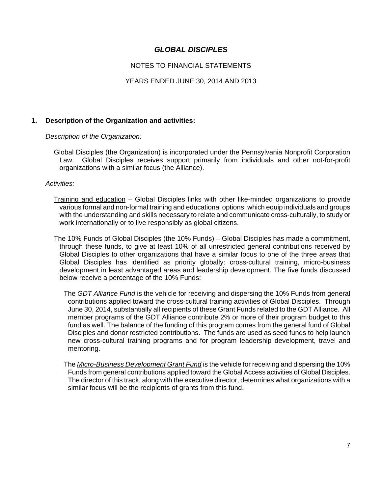#### NOTES TO FINANCIAL STATEMENTS

#### YEARS ENDED JUNE 30, 2014 AND 2013

#### **1. Description of the Organization and activities:**

*Description of the Organization:* 

 Global Disciples (the Organization) is incorporated under the Pennsylvania Nonprofit Corporation Law. Global Disciples receives support primarily from individuals and other not-for-profit organizations with a similar focus (the Alliance).

*Activities:* 

- Training and education Global Disciples links with other like-minded organizations to provide various formal and non-formal training and educational options, which equip individuals and groups with the understanding and skills necessary to relate and communicate cross-culturally, to study or work internationally or to live responsibly as global citizens.
- The 10% Funds of Global Disciples (the 10% Funds) Global Disciples has made a commitment, through these funds, to give at least 10% of all unrestricted general contributions received by Global Disciples to other organizations that have a similar focus to one of the three areas that Global Disciples has identified as priority globally: cross-cultural training, micro-business development in least advantaged areas and leadership development. The five funds discussed below receive a percentage of the 10% Funds:
	- The *GDT Alliance Fund* is the vehicle for receiving and dispersing the 10% Funds from general contributions applied toward the cross-cultural training activities of Global Disciples. Through June 30, 2014, substantially all recipients of these Grant Funds related to the GDT Alliance. All member programs of the GDT Alliance contribute 2% or more of their program budget to this fund as well. The balance of the funding of this program comes from the general fund of Global Disciples and donor restricted contributions. The funds are used as seed funds to help launch new cross-cultural training programs and for program leadership development, travel and mentoring.
	- The *Micro-Business Development Grant Fund* is the vehicle for receiving and dispersing the 10% Funds from general contributions applied toward the Global Access activities of Global Disciples. The director of this track, along with the executive director, determines what organizations with a similar focus will be the recipients of grants from this fund.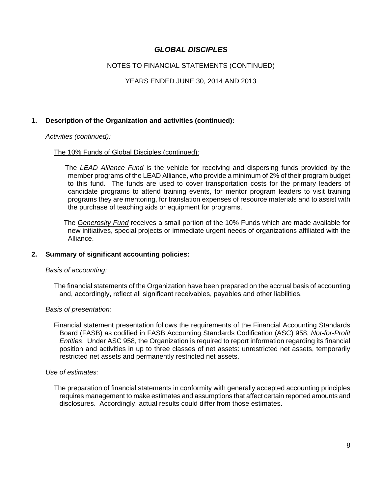#### NOTES TO FINANCIAL STATEMENTS (CONTINUED)

#### YEARS ENDED JUNE 30, 2014 AND 2013

#### **1. Description of the Organization and activities (continued):**

#### *Activities (continued):*

#### The 10% Funds of Global Disciples (continued):

 The *LEAD Alliance Fund* is the vehicle for receiving and dispersing funds provided by the member programs of the LEAD Alliance, who provide a minimum of 2% of their program budget to this fund. The funds are used to cover transportation costs for the primary leaders of candidate programs to attend training events, for mentor program leaders to visit training programs they are mentoring, for translation expenses of resource materials and to assist with the purchase of teaching aids or equipment for programs.

 The *Generosity Fund* receives a small portion of the 10% Funds which are made available for new initiatives, special projects or immediate urgent needs of organizations affiliated with the Alliance.

#### **2. Summary of significant accounting policies:**

#### *Basis of accounting:*

 The financial statements of the Organization have been prepared on the accrual basis of accounting and, accordingly, reflect all significant receivables, payables and other liabilities.

#### *Basis of presentation:*

 Financial statement presentation follows the requirements of the Financial Accounting Standards Board (FASB) as codified in FASB Accounting Standards Codification (ASC) 958, *Not-for-Profit Entities*. Under ASC 958, the Organization is required to report information regarding its financial position and activities in up to three classes of net assets: unrestricted net assets, temporarily restricted net assets and permanently restricted net assets.

#### *Use of estimates:*

 The preparation of financial statements in conformity with generally accepted accounting principles requires management to make estimates and assumptions that affect certain reported amounts and disclosures. Accordingly, actual results could differ from those estimates.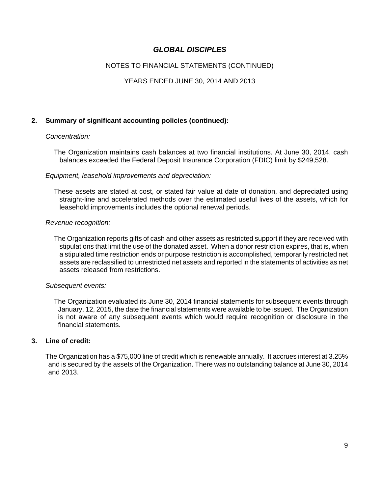#### NOTES TO FINANCIAL STATEMENTS (CONTINUED)

#### YEARS ENDED JUNE 30, 2014 AND 2013

#### **2. Summary of significant accounting policies (continued):**

#### *Concentration:*

 The Organization maintains cash balances at two financial institutions. At June 30, 2014, cash balances exceeded the Federal Deposit Insurance Corporation (FDIC) limit by \$249,528.

#### *Equipment, leasehold improvements and depreciation:*

 These assets are stated at cost, or stated fair value at date of donation, and depreciated using straight-line and accelerated methods over the estimated useful lives of the assets, which for leasehold improvements includes the optional renewal periods.

#### *Revenue recognition:*

 The Organization reports gifts of cash and other assets as restricted support if they are received with stipulations that limit the use of the donated asset. When a donor restriction expires, that is, when a stipulated time restriction ends or purpose restriction is accomplished, temporarily restricted net assets are reclassified to unrestricted net assets and reported in the statements of activities as net assets released from restrictions.

#### *Subsequent events:*

 The Organization evaluated its June 30, 2014 financial statements for subsequent events through January, 12, 2015, the date the financial statements were available to be issued. The Organization is not aware of any subsequent events which would require recognition or disclosure in the financial statements.

#### **3. Line of credit:**

 The Organization has a \$75,000 line of credit which is renewable annually. It accrues interest at 3.25% and is secured by the assets of the Organization. There was no outstanding balance at June 30, 2014 and 2013.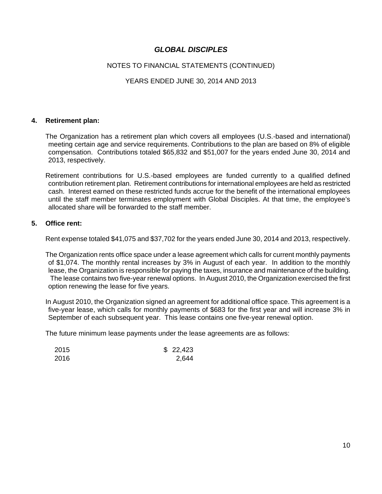#### NOTES TO FINANCIAL STATEMENTS (CONTINUED)

#### YEARS ENDED JUNE 30, 2014 AND 2013

#### **4. Retirement plan:**

 The Organization has a retirement plan which covers all employees (U.S.-based and international) meeting certain age and service requirements. Contributions to the plan are based on 8% of eligible compensation. Contributions totaled \$65,832 and \$51,007 for the years ended June 30, 2014 and 2013, respectively.

 Retirement contributions for U.S.-based employees are funded currently to a qualified defined contribution retirement plan. Retirement contributions for international employees are held as restricted cash. Interest earned on these restricted funds accrue for the benefit of the international employees until the staff member terminates employment with Global Disciples. At that time, the employee's allocated share will be forwarded to the staff member.

#### **5. Office rent:**

Rent expense totaled \$41,075 and \$37,702 for the years ended June 30, 2014 and 2013, respectively.

 The Organization rents office space under a lease agreement which calls for current monthly payments of \$1,074. The monthly rental increases by 3% in August of each year. In addition to the monthly lease, the Organization is responsible for paying the taxes, insurance and maintenance of the building. The lease contains two five-year renewal options. In August 2010, the Organization exercised the first option renewing the lease for five years.

 In August 2010, the Organization signed an agreement for additional office space. This agreement is a five-year lease, which calls for monthly payments of \$683 for the first year and will increase 3% in September of each subsequent year. This lease contains one five-year renewal option.

The future minimum lease payments under the lease agreements are as follows:

| 2015 | \$22,423 |
|------|----------|
| 2016 | 2,644    |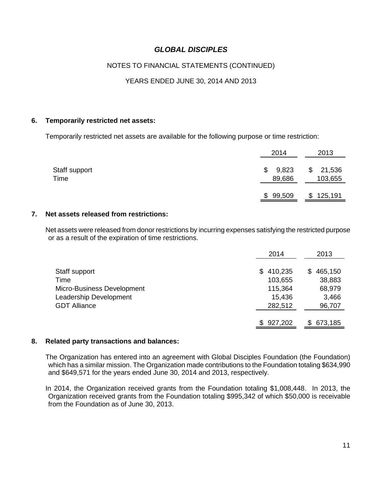#### NOTES TO FINANCIAL STATEMENTS (CONTINUED)

#### YEARS ENDED JUNE 30, 2014 AND 2013

#### **6. Temporarily restricted net assets:**

Temporarily restricted net assets are available for the following purpose or time restriction:

|                       | 2014                  | 2013                    |
|-----------------------|-----------------------|-------------------------|
| Staff support<br>Time | 9,823<br>\$<br>89,686 | 21,536<br>\$<br>103,655 |
|                       | \$99,509              | \$125,191               |

#### **7. Net assets released from restrictions:**

 Net assets were released from donor restrictions by incurring expenses satisfying the restricted purpose or as a result of the expiration of time restrictions.

|                            | 2014           | 2013           |
|----------------------------|----------------|----------------|
| Staff support              | 410,235<br>SS. | 465,150<br>\$. |
| Time                       | 103,655        | 38,883         |
| Micro-Business Development | 115,364        | 68,979         |
| Leadership Development     | 15,436         | 3,466          |
| <b>GDT Alliance</b>        | 282,512        | 96,707         |
|                            |                |                |
|                            | \$927,202      | 673,185<br>S.  |

#### **8. Related party transactions and balances:**

 The Organization has entered into an agreement with Global Disciples Foundation (the Foundation) which has a similar mission. The Organization made contributions to the Foundation totaling \$634,990 and \$649,571 for the years ended June 30, 2014 and 2013, respectively.

 In 2014, the Organization received grants from the Foundation totaling \$1,008,448. In 2013, the Organization received grants from the Foundation totaling \$995,342 of which \$50,000 is receivable from the Foundation as of June 30, 2013.